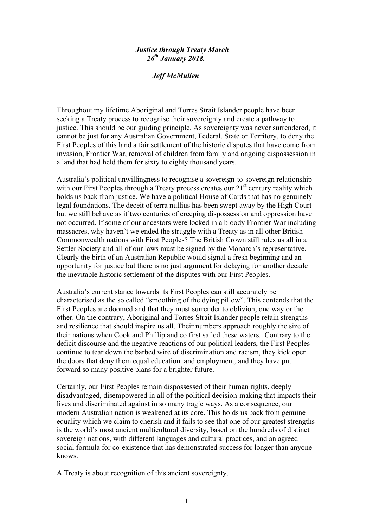## *Justice through Treaty March 26th January 2018.*

## *Jeff McMullen*

Throughout my lifetime Aboriginal and Torres Strait Islander people have been seeking a Treaty process to recognise their sovereignty and create a pathway to justice. This should be our guiding principle. As sovereignty was never surrendered, it cannot be just for any Australian Government, Federal, State or Territory, to deny the First Peoples of this land a fair settlement of the historic disputes that have come from invasion, Frontier War, removal of children from family and ongoing dispossession in a land that had held them for sixty to eighty thousand years.

Australia's political unwillingness to recognise a sovereign-to-sovereign relationship with our First Peoples through a Treaty process creates our 21<sup>st</sup> century reality which holds us back from justice. We have a political House of Cards that has no genuinely legal foundations. The deceit of terra nullius has been swept away by the High Court but we still behave as if two centuries of creeping dispossession and oppression have not occurred. If some of our ancestors were locked in a bloody Frontier War including massacres, why haven't we ended the struggle with a Treaty as in all other British Commonwealth nations with First Peoples? The British Crown still rules us all in a Settler Society and all of our laws must be signed by the Monarch's representative. Clearly the birth of an Australian Republic would signal a fresh beginning and an opportunity for justice but there is no just argument for delaying for another decade the inevitable historic settlement of the disputes with our First Peoples.

Australia's current stance towards its First Peoples can still accurately be characterised as the so called "smoothing of the dying pillow". This contends that the First Peoples are doomed and that they must surrender to oblivion, one way or the other. On the contrary, Aboriginal and Torres Strait Islander people retain strengths and resilience that should inspire us all. Their numbers approach roughly the size of their nations when Cook and Phillip and co first sailed these waters. Contrary to the deficit discourse and the negative reactions of our political leaders, the First Peoples continue to tear down the barbed wire of discrimination and racism, they kick open the doors that deny them equal education and employment, and they have put forward so many positive plans for a brighter future.

Certainly, our First Peoples remain dispossessed of their human rights, deeply disadvantaged, disempowered in all of the political decision-making that impacts their lives and discriminated against in so many tragic ways. As a consequence, our modern Australian nation is weakened at its core. This holds us back from genuine equality which we claim to cherish and it fails to see that one of our greatest strengths is the world's most ancient multicultural diversity, based on the hundreds of distinct sovereign nations, with different languages and cultural practices, and an agreed social formula for co-existence that has demonstrated success for longer than anyone knows.

A Treaty is about recognition of this ancient sovereignty.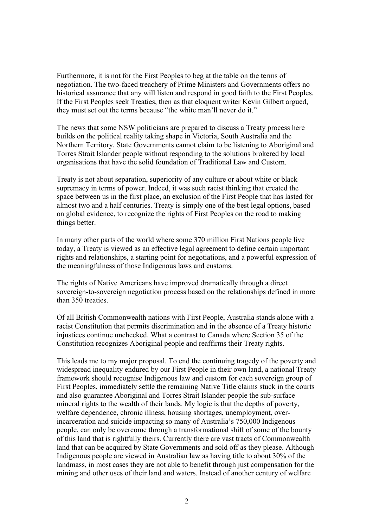Furthermore, it is not for the First Peoples to beg at the table on the terms of negotiation. The two-faced treachery of Prime Ministers and Governments offers no historical assurance that any will listen and respond in good faith to the First Peoples. If the First Peoples seek Treaties, then as that eloquent writer Kevin Gilbert argued, they must set out the terms because "the white man'll never do it."

The news that some NSW politicians are prepared to discuss a Treaty process here builds on the political reality taking shape in Victoria, South Australia and the Northern Territory. State Governments cannot claim to be listening to Aboriginal and Torres Strait Islander people without responding to the solutions brokered by local organisations that have the solid foundation of Traditional Law and Custom.

Treaty is not about separation, superiority of any culture or about white or black supremacy in terms of power. Indeed, it was such racist thinking that created the space between us in the first place, an exclusion of the First People that has lasted for almost two and a half centuries. Treaty is simply one of the best legal options, based on global evidence, to recognize the rights of First Peoples on the road to making things better.

In many other parts of the world where some 370 million First Nations people live today, a Treaty is viewed as an effective legal agreement to define certain important rights and relationships, a starting point for negotiations, and a powerful expression of the meaningfulness of those Indigenous laws and customs.

The rights of Native Americans have improved dramatically through a direct sovereign-to-sovereign negotiation process based on the relationships defined in more than 350 treaties.

Of all British Commonwealth nations with First People, Australia stands alone with a racist Constitution that permits discrimination and in the absence of a Treaty historic injustices continue unchecked. What a contrast to Canada where Section 35 of the Constitution recognizes Aboriginal people and reaffirms their Treaty rights.

This leads me to my major proposal. To end the continuing tragedy of the poverty and widespread inequality endured by our First People in their own land, a national Treaty framework should recognise Indigenous law and custom for each sovereign group of First Peoples, immediately settle the remaining Native Title claims stuck in the courts and also guarantee Aboriginal and Torres Strait Islander people the sub-surface mineral rights to the wealth of their lands. My logic is that the depths of poverty, welfare dependence, chronic illness, housing shortages, unemployment, overincarceration and suicide impacting so many of Australia's 750,000 Indigenous people, can only be overcome through a transformational shift of some of the bounty of this land that is rightfully theirs. Currently there are vast tracts of Commonwealth land that can be acquired by State Governments and sold off as they please. Although Indigenous people are viewed in Australian law as having title to about 30% of the landmass, in most cases they are not able to benefit through just compensation for the mining and other uses of their land and waters. Instead of another century of welfare